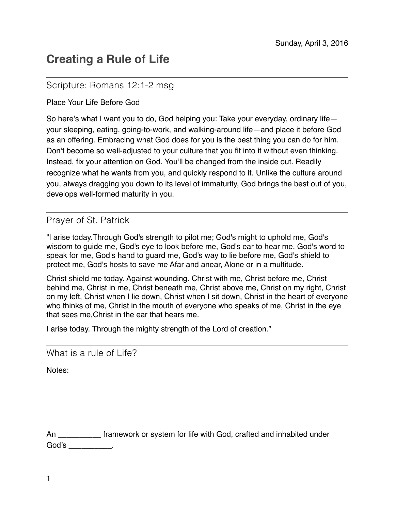## **Creating a Rule of Life**

## Scripture: Romans 12:1-2 msg

Place Your Life Before God

So here's what I want you to do, God helping you: Take your everyday, ordinary life your sleeping, eating, going-to-work, and walking-around life—and place it before God as an offering. Embracing what God does for you is the best thing you can do for him. Don't become so well-adjusted to your culture that you fit into it without even thinking. Instead, fix your attention on God. You'll be changed from the inside out. Readily recognize what he wants from you, and quickly respond to it. Unlike the culture around you, always dragging you down to its level of immaturity, God brings the best out of you, develops well-formed maturity in you.

## Prayer of St. Patrick

"I arise today.Through God's strength to pilot me; God's might to uphold me, God's wisdom to guide me, God's eye to look before me, God's ear to hear me, God's word to speak for me, God's hand to guard me, God's way to lie before me, God's shield to protect me, God's hosts to save me Afar and anear, Alone or in a multitude.

Christ shield me today. Against wounding. Christ with me, Christ before me, Christ behind me, Christ in me, Christ beneath me, Christ above me, Christ on my right, Christ on my left, Christ when I lie down, Christ when I sit down, Christ in the heart of everyone who thinks of me, Christ in the mouth of everyone who speaks of me, Christ in the eye that sees me,Christ in the ear that hears me.

I arise today. Through the mighty strength of the Lord of creation."

What is a rule of Life?

Notes:

An \_\_\_\_\_\_\_\_\_\_ framework or system for life with God, crafted and inhabited under God's \_\_\_\_\_\_\_\_\_\_\_.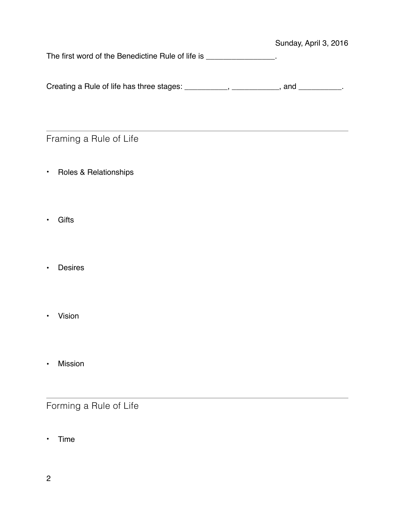Sunday, April 3, 2016

The first word of the Benedictine Rule of life is \_\_\_\_\_\_\_\_\_\_\_\_\_\_\_\_.

Creating a Rule of life has three stages: \_\_\_\_\_\_\_\_\_\_, \_\_\_\_\_\_\_\_\_\_, and \_\_\_\_\_\_\_\_\_\_.

Framing a Rule of Life

- Roles & Relationships
- Gifts
- Desires
- Vision
- Mission

## Forming a Rule of Life

• Time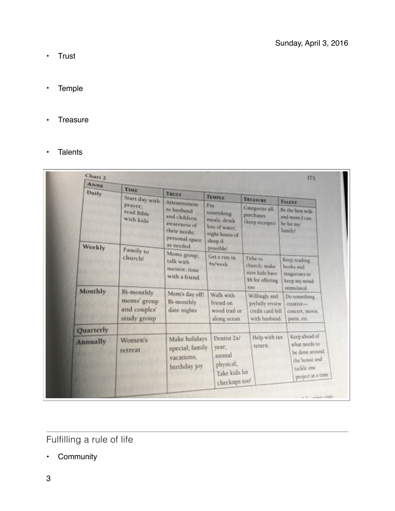- Trust
- Temple
- Treasure
- Talents

| <b>ANNE</b><br>Daily | TIME                                                     | <b>TRUST</b>                                                                                                       |                                                                                                |                                                                        |                                                                                                      |
|----------------------|----------------------------------------------------------|--------------------------------------------------------------------------------------------------------------------|------------------------------------------------------------------------------------------------|------------------------------------------------------------------------|------------------------------------------------------------------------------------------------------|
|                      | Start day with                                           |                                                                                                                    | <b>TEMPLE</b>                                                                                  | <b>TREASURE</b>                                                        |                                                                                                      |
| Weekly               | prayer,<br>read Bible<br>with kids                       | <b>Attentiveness</b><br>to husband<br>and children;<br>awareness of<br>their needs:<br>personal space<br>as needed | Fix<br>nourishing<br>meals; drink<br>lots of water.<br>eight hours of<br>sleep if<br>possible! | Categorize all<br>purchases<br>(keep receipts)                         | <b>TALENT</b><br>Be the best wife.<br>and mom I can<br>be for my<br>family!                          |
|                      | Family to<br>church!                                     | Moms group,<br>talk with<br>mentor; time<br>with a friend                                                          | Get a run in<br>4x/week                                                                        | Tithe to<br>church; make<br>sure kids have<br>\$\$ for offering<br>teo | Keep reading<br>books and<br>magazines to<br>keep my mind<br>stimulated                              |
| Monthly              | Bi-monthly<br>moms' group<br>and couples'<br>study group | Mom's day off!<br>Bi-monthly<br>date nights                                                                        | Walk with<br>friend on<br>wood trail or<br>along ocean                                         | Willingly and<br>joyfully review<br>credit card bill<br>with husband.  | Do something<br>creative-<br>concert, movie,<br>paint, etc.                                          |
| Quarterly            |                                                          |                                                                                                                    |                                                                                                |                                                                        |                                                                                                      |
| Annually             | Women's<br>retreat                                       | Make holidays<br>special; family<br>vacations;<br>birthday joy                                                     | Dentist 2x/<br>year.<br>annual<br>physical;<br>Take kids for<br>checkups too!                  | Help with tax<br>return.                                               | Keep ahead of<br>what needs to<br>be done around<br>the house and<br>tackle one<br>project at a time |

Fulfilling a rule of life

• Community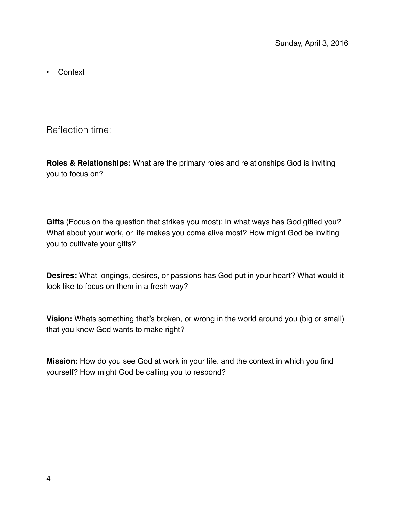• Context

Reflection time:

**Roles & Relationships:** What are the primary roles and relationships God is inviting you to focus on?

**Gifts** (Focus on the question that strikes you most): In what ways has God gifted you? What about your work, or life makes you come alive most? How might God be inviting you to cultivate your gifts?

**Desires:** What longings, desires, or passions has God put in your heart? What would it look like to focus on them in a fresh way?

**Vision:** Whats something that's broken, or wrong in the world around you (big or small) that you know God wants to make right?

**Mission:** How do you see God at work in your life, and the context in which you find yourself? How might God be calling you to respond?